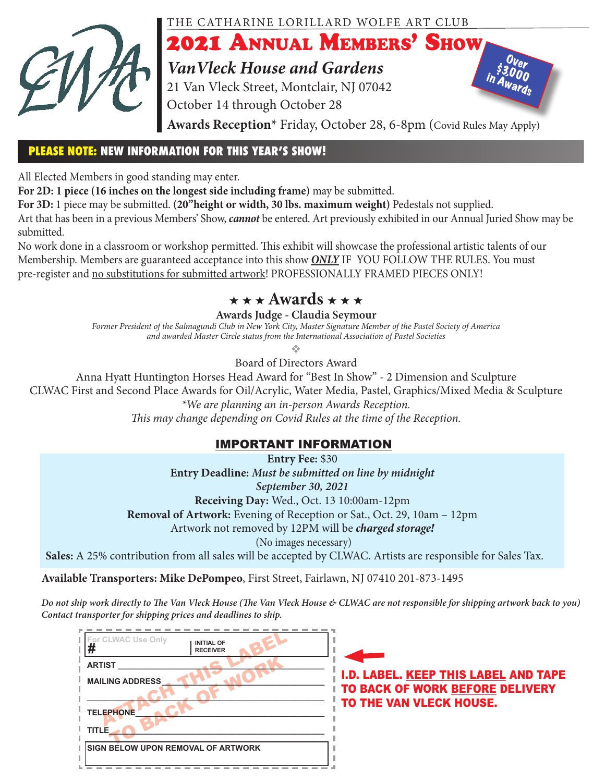

THE CATHARINE LORILLARD WOLFE ART CLUB

2021 Annual Members' Show

*VanVleck House and Gardens*

21 Van Vleck Street, Montclair, NJ 07042 October 14 through October 28



**Awards Reception\*** Friday, October 28, 6-8pm (Covid Rules May Apply)

### **PLEASE NOTE: NEW INFORMATION FOR THIS YEAR'S SHOW!**

All Elected Members in good standing may enter.

**For 2D: 1 piece (16 inches on the longest side including frame)** may be submitted.

**For 3D:** 1 piece may be submitted. **(20"height or width, 30 lbs. maximum weight)** Pedestals not supplied.

Art that has been in a previous Members' Show, *cannot* be entered. Art previously exhibited in our Annual Juried Show may be submitted.

No work done in a classroom or workshop permitted. This exhibit will showcase the professional artistic talents of our Membership. Members are guaranteed acceptance into this show *ONLY* IF YOU FOLLOW THE RULES. You must pre-register and no substitutions for submitted artwork! PROFESSIONALLY FRAMED PIECES ONLY!

# $\star \star \star$  Awards  $\star \star \star$

#### **Awards Judge - Claudia Seymour**

*Former President of the Salmagundi Club in New York City, Master Signature Member of the Pastel Society of America and awarded Master Circle status from the International Association of Pastel Societies*

v

Board of Directors Award

Anna Hyatt Huntington Horses Head Award for "Best In Show" - 2 Dimension and Sculpture CLWAC First and Second Place Awards for Oil/Acrylic, Water Media, Pastel, Graphics/Mixed Media & Sculpture *\*We are planning an in-person Awards Reception.* 

*This may change depending on Covid Rules at the time of the Reception.*

## IMPORTANT INFORMATION

**Entry Fee:** \$30 **Entry Deadline:** *Must be submitted on line by midnight September 30, 2021* **Receiving Day:** Wed., Oct. 13 10:00am-12pm **Removal of Artwork:** Evening of Reception or Sat., Oct. 29, 10am – 12pm Artwork not removed by 12PM will be *charged storage!* (No images necessary)

**Sales:** A 25% contribution from all sales will be accepted by CLWAC. Artists are responsible for Sales Tax.

**Available Transporters: Mike DePompeo**, First Street, Fairlawn, NJ 07410 201-873-1495

*Do not ship work directly to The Van Vleck House (The Van Vleck House & CLWAC are not responsible for shipping artwork back to you) Contact transporter for shipping prices and deadlines to ship.*

| For CLWAC Use Only<br><b>INITIAL OF</b><br>Ħ<br><b>RECEIVER</b><br><b>ARTIST</b><br><b>MAILING ADDRESS</b><br><b>TELEPHONE</b><br><b>TITLE</b><br><b>ISIGN BELOW UPON REMOVAL OF ARTWORK</b> | <b>I.D. LABEL. KEEP THIS LABEL AND TAPE</b><br><b>TO BACK OF WORK BEFORE DELIVERY</b><br><b>TO THE VAN VLECK HOUSE.</b> |
|----------------------------------------------------------------------------------------------------------------------------------------------------------------------------------------------|-------------------------------------------------------------------------------------------------------------------------|
|                                                                                                                                                                                              |                                                                                                                         |